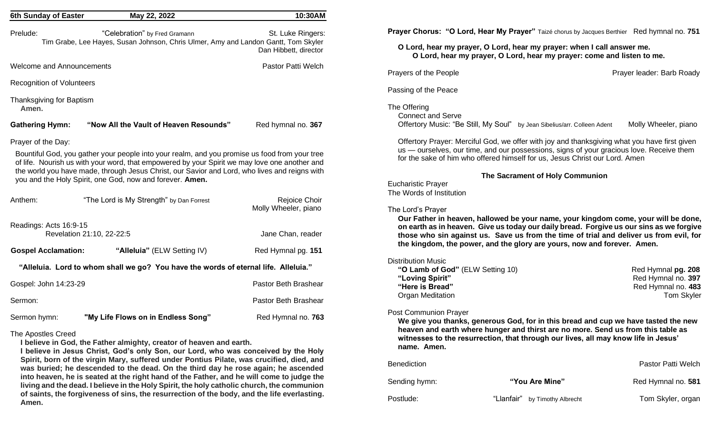| 6th Sunday of Easter              | May 22, 2022                                                                                                                                                                                                                                                                                                                                                | 10:30AM                                    |
|-----------------------------------|-------------------------------------------------------------------------------------------------------------------------------------------------------------------------------------------------------------------------------------------------------------------------------------------------------------------------------------------------------------|--------------------------------------------|
| Prelude:                          | "Celebration" by Fred Gramann<br>Tim Grabe, Lee Hayes, Susan Johnson, Chris Ulmer, Amy and Landon Gantt, Tom Skyler                                                                                                                                                                                                                                         | St. Luke Ringers:<br>Dan Hibbett, director |
| <b>Welcome and Announcements</b>  |                                                                                                                                                                                                                                                                                                                                                             | Pastor Patti Welch                         |
| <b>Recognition of Volunteers</b>  |                                                                                                                                                                                                                                                                                                                                                             |                                            |
| Thanksgiving for Baptism<br>Amen. |                                                                                                                                                                                                                                                                                                                                                             |                                            |
| <b>Gathering Hymn:</b>            | "Now All the Vault of Heaven Resounds"                                                                                                                                                                                                                                                                                                                      | Red hymnal no. 367                         |
| Prayer of the Day:                |                                                                                                                                                                                                                                                                                                                                                             |                                            |
|                                   | Bountiful God, you gather your people into your realm, and you promise us food from your tree<br>of life. Nourish us with your word, that empowered by your Spirit we may love one another and<br>the world you have made, through Jesus Christ, our Savior and Lord, who lives and reigns with<br>you and the Holy Spirit, one God, now and forever. Amen. |                                            |
| Anthem:                           | "The Lord is My Strength" by Dan Forrest                                                                                                                                                                                                                                                                                                                    | Rejoice Choir<br>Molly Wheeler, piano      |
| Readings: Acts 16:9-15            |                                                                                                                                                                                                                                                                                                                                                             |                                            |
|                                   | Revelation 21:10, 22-22:5                                                                                                                                                                                                                                                                                                                                   | Jane Chan, reader                          |
| <b>Gospel Acclamation:</b>        | "Alleluia" (ELW Setting IV)                                                                                                                                                                                                                                                                                                                                 | Red Hymnal pg. 151                         |
|                                   | "Alleluia. Lord to whom shall we go? You have the words of eternal life. Alleluia."                                                                                                                                                                                                                                                                         |                                            |
| Gospel: John 14:23-29             |                                                                                                                                                                                                                                                                                                                                                             | Pastor Beth Brashear                       |
| Sermon:                           |                                                                                                                                                                                                                                                                                                                                                             | Pastor Beth Brashear                       |
| Sermon hymn:                      | "My Life Flows on in Endless Song"                                                                                                                                                                                                                                                                                                                          | Red Hymnal no. 763                         |
| <b>The Apostles Creed</b>         |                                                                                                                                                                                                                                                                                                                                                             |                                            |

#### The Apostles Creed

**I believe in God, the Father almighty, creator of heaven and earth.**

**I believe in Jesus Christ, God's only Son, our Lord, who was conceived by the Holy Spirit, born of the virgin Mary, suffered under Pontius Pilate, was crucified, died, and was buried; he descended to the dead. On the third day he rose again; he ascended into heaven, he is seated at the right hand of the Father, and he will come to judge the living and the dead. I believe in the Holy Spirit, the holy catholic church, the communion of saints, the forgiveness of sins, the resurrection of the body, and the life everlasting. Amen.**

**Prayer Chorus: "O Lord, Hear My Prayer"** Taizé chorus by Jacques Berthier Red hymnal no. **751** 

**O Lord, hear my prayer, O Lord, hear my prayer: when I call answer me. O Lord, hear my prayer, O Lord, hear my prayer: come and listen to me.**

Prayers of the People **Prayer Leader: Barb Roady** Prayer leader: Barb Roady

Passing of the Peace

The Offering

Connect and Serve

Offertory Music: "Be Still, My Soul" by Jean Sibelius/arr. Colleen Adent Molly Wheeler, piano

Offertory Prayer: Merciful God, we offer with joy and thanksgiving what you have first given us — ourselves, our time, and our possessions, signs of your gracious love. Receive them for the sake of him who offered himself for us, Jesus Christ our Lord. Amen

#### **The Sacrament of Holy Communion**

Eucharistic Prayer The Words of Institution

#### The Lord's Prayer

**Our Father in heaven, hallowed be your name, your kingdom come, your will be done, on earth as in heaven. Give us today our daily bread. Forgive us our sins as we forgive those who sin against us. Save us from the time of trial and deliver us from evil, for the kingdom, the power, and the glory are yours, now and forever. Amen.**

#### Distribution Music

| "O Lamb of God" (ELW Setting 10) | Red Hymnal <b>pg. 208</b> |
|----------------------------------|---------------------------|
| "Loving Spirit"                  | Red Hymnal no. 397        |
| "Here is Bread"                  | Red Hymnal no. 483        |
| Organ Meditation                 | <b>Tom Skyler</b>         |

#### Post Communion Prayer

**We give you thanks, generous God, for in this bread and cup we have tasted the new heaven and earth where hunger and thirst are no more. Send us from this table as witnesses to the resurrection, that through our lives, all may know life in Jesus' name. Amen.**

| <b>Benediction</b> | Pastor Patti Welch             |                    |
|--------------------|--------------------------------|--------------------|
| Sending hymn:      | "You Are Mine"                 | Red Hymnal no. 581 |
| Postlude:          | "Llanfair" by Timothy Albrecht | Tom Skyler, organ  |